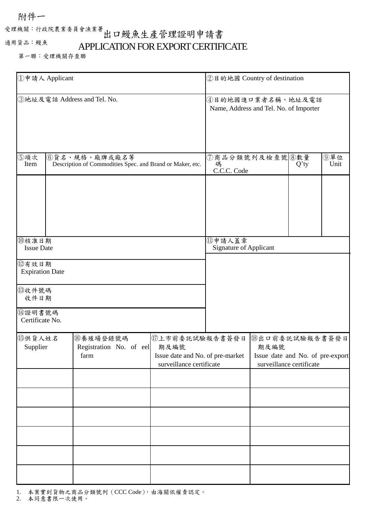### 附件一

# 受理機關:行政院農業委員會漁業署 出口鰻魚生產管理證明申請書

適用貨品:鰻魚

### APPLICATION FOR EXPORT CERTIFICATE

第一聯:受理機關存查聯

| ①申請人 Applicant                                     |  |                                                                            |                                                                                         | ②目的地國 Country of destination                                |                                                                                         |         |             |  |
|----------------------------------------------------|--|----------------------------------------------------------------------------|-----------------------------------------------------------------------------------------|-------------------------------------------------------------|-----------------------------------------------------------------------------------------|---------|-------------|--|
| 3地址及電話 Address and Tel. No.                        |  |                                                                            |                                                                                         | 4目的地國進口業者名稱、地址及電話<br>Name, Address and Tel. No. of Importer |                                                                                         |         |             |  |
| ⑤項次<br>Item                                        |  | 6貨名、規格、廠牌或廠名等<br>Description of Commodities Spec. and Brand or Maker, etc. |                                                                                         | ⑦商品分類號列及檢查號8數量<br>碼<br>C.C.C. Code                          |                                                                                         | $Q'$ ty | 9單位<br>Unit |  |
| ⑩核准日期<br><b>Issue Date</b>                         |  |                                                                            |                                                                                         | ①申請人蓋章<br>Signature of Applicant                            |                                                                                         |         |             |  |
| 12有效日期<br><b>Expiration Date</b><br>13收件號碼<br>收件日期 |  |                                                                            |                                                                                         |                                                             |                                                                                         |         |             |  |
| 41證明書號碼<br>Certificate No.                         |  |                                                                            |                                                                                         |                                                             |                                                                                         |         |             |  |
| 的供貨人姓名<br>Supplier                                 |  | 16卷殖場登錄號碼<br>Registration No. of eel<br>farm                               | 10上市前委託試驗報告書簽發日<br>期及編號<br>Issue date and No. of pre-market<br>surveillance certificate |                                                             | 18出口前委託試驗報告書簽發日<br>期及編號<br>Issue date and No. of pre-export<br>surveillance certificate |         |             |  |
|                                                    |  |                                                                            |                                                                                         |                                                             |                                                                                         |         |             |  |
|                                                    |  |                                                                            |                                                                                         |                                                             |                                                                                         |         |             |  |
|                                                    |  |                                                                            |                                                                                         |                                                             |                                                                                         |         |             |  |
|                                                    |  |                                                                            |                                                                                         |                                                             |                                                                                         |         |             |  |

1. 本案實到貨物之商品分類號列 (CCC Code),由海關依權責認定。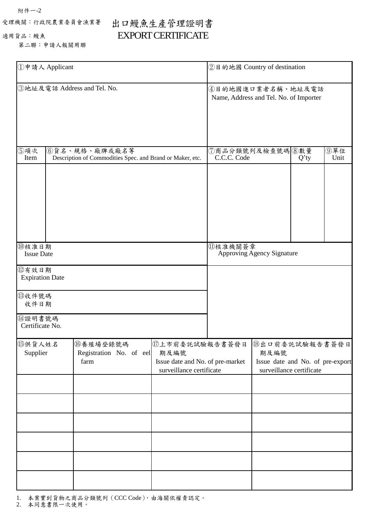附件一-2

適用貨品:鰻魚

### 受理機關:行政院農業委員會漁業署

## 出口鰻魚生產管理證明書 EXPORT CERTIFICATE

第二聯:申請人報關用聯

| ①申請人 Applicant                                               | ②目的地國 Country of destination                                               |                                                                                         |                                 |                                                                                         |         |             |
|--------------------------------------------------------------|----------------------------------------------------------------------------|-----------------------------------------------------------------------------------------|---------------------------------|-----------------------------------------------------------------------------------------|---------|-------------|
| 3地址及電話 Address and Tel. No.                                  | 4目的地國進口業者名稱、地址及電話<br>Name, Address and Tel. No. of Importer                |                                                                                         |                                 |                                                                                         |         |             |
| ⑤項次<br>Item                                                  | 6貨名、規格、廠牌或廠名等<br>Description of Commodities Spec. and Brand or Maker, etc. |                                                                                         | ⑦商品分類號列及檢查號碼 8數量<br>C.C.C. Code |                                                                                         | $Q'$ ty | ⑨單位<br>Unit |
| ⑩核准日期<br><b>Issue Date</b>                                   |                                                                            |                                                                                         | ①核准機關簽章                         | <b>Approving Agency Signature</b>                                                       |         |             |
| 12有效日期<br><b>Expiration Date</b><br>13收件號碼<br>收件日期<br>⑭證明書號碼 |                                                                            |                                                                                         |                                 |                                                                                         |         |             |
| Certificate No.<br>15供貨人姓名<br>Supplier                       | 的養殖場登錄號碼<br>Registration No. of eel<br>farm                                | 17上市前委託試驗報告書簽發日<br>期及編號<br>Issue date and No. of pre-market<br>surveillance certificate |                                 | 18出口前委託試驗報告書簽發日<br>期及編號<br>Issue date and No. of pre-export<br>surveillance certificate |         |             |
|                                                              |                                                                            |                                                                                         |                                 |                                                                                         |         |             |
|                                                              |                                                                            |                                                                                         |                                 |                                                                                         |         |             |

1. 本案實到貨物之商品分類號列 (CCC Code),由海關依權責認定。

2. 本同意書限一次使用。